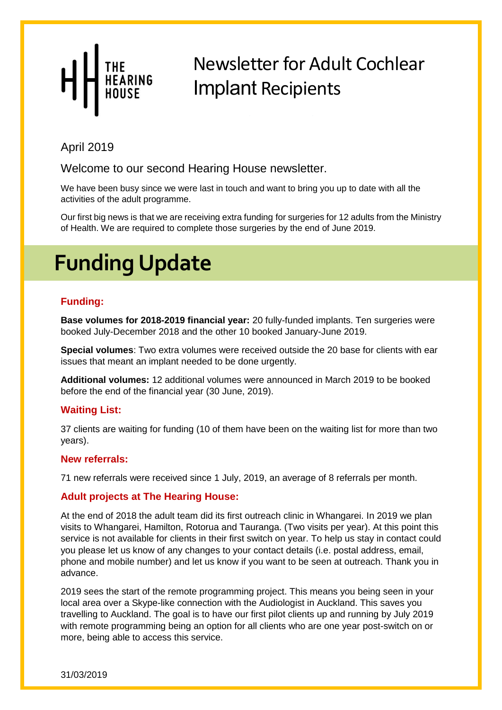From the Northern CI

#### April 2019

Welcome to our second Hearing House newsletter.

*Ellen Giles, CI Rehabilitationist* We have been busy since we were last in touch and want to bring you up to date with all the activities of the adult programme.

Our first big news is that we are receiving extra funding for surgeries for 12 adults from the Ministry of Health. We are required to complete those surgeries by the end of June 2019.

## **Funding Update**

#### **Funding:**

**Base volumes for 2018-2019 financial year:** 20 fully-funded implants. Ten surgeries were booked July-December 2018 and the other 10 booked January-June 2019.

**Special volumes**: Two extra volumes were received outside the 20 base for clients with ear issues that meant an implant needed to be done urgently.

**Additional volumes:** 12 additional volumes were announced in March 2019 to be booked before the end of the financial year (30 June, 2019).

#### **Waiting List:**

37 clients are waiting for funding (10 of them have been on the waiting list for more than two years).

#### **New referrals:**

71 new referrals were received since 1 July, 2019, an average of 8 referrals per month.

#### **Adult projects at The Hearing House:**

At the end of 2018 the adult team did its first outreach clinic in Whangarei. In 2019 we plan visits to Whangarei, Hamilton, Rotorua and Tauranga. (Two visits per year). At this point this service is not available for clients in their first switch on year. To help us stay in contact could you please let us know of any changes to your contact details (i.e. postal address, email, phone and mobile number) and let us know if you want to be seen at outreach. Thank you in advance.

2019 sees the start of the remote programming project. This means you being seen in your local area over a Skype-like connection with the Audiologist in Auckland. This saves you travelling to Auckland. The goal is to have our first pilot clients up and running by July 2019 with remote programming being an option for all clients who are one year post-switch on or more, being able to access this service.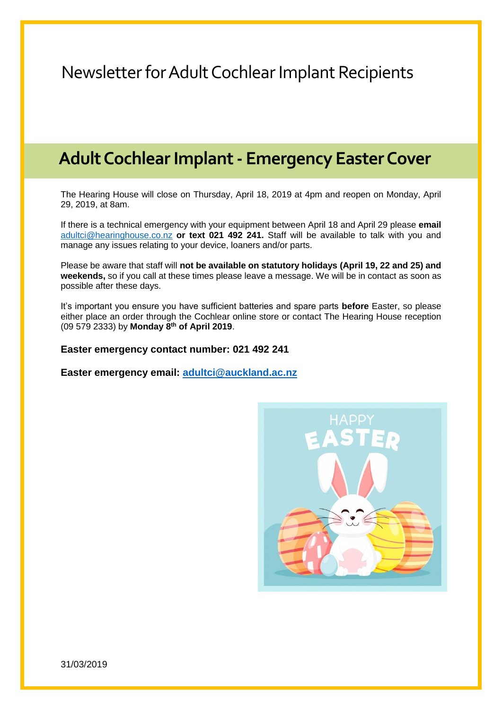#### **Adult Cochlear Implant - Emergency Easter Cover**

The Hearing House will close on Thursday, April 18, 2019 at 4pm and reopen on Monday, April 29, 2019, at 8am.

If there is a technical emergency with your equipment between April 18 and April 29 please **email** [adultci@hearinghouse.co.nz](mailto:adultci@hearinghouse.co.nz) **or text 021 492 241.** Staff will be available to talk with you and manage any issues relating to your device, loaners and/or parts.

Please be aware that staff will **not be available on statutory holidays (April 19, 22 and 25) and weekends,** so if you call at these times please leave a message. We will be in contact as soon as possible after these days.

It's important you ensure you have sufficient batteries and spare parts **before** Easter, so please either place an order through the Cochlear online store or contact The Hearing House reception (09 579 2333) by **Monday 8th of April 2019**.

#### **Easter emergency contact number: 021 492 241**

**Easter emergency email: [adultci@auckland.ac.nz](mailto:adultci@auckland.ac.nz)**

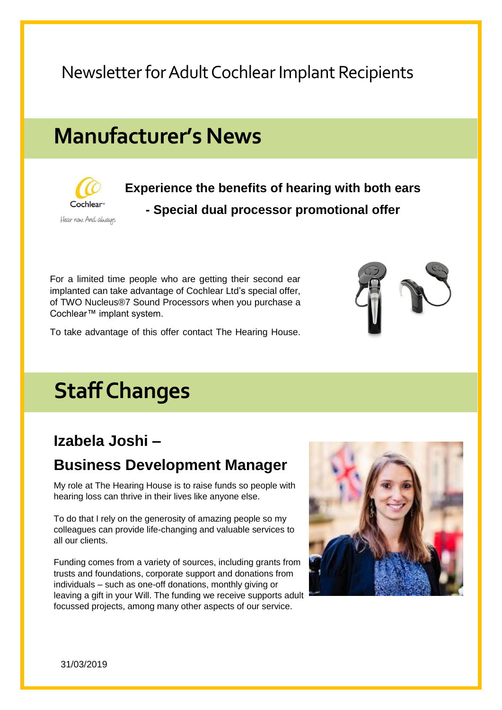## **Manufacturer's News**



**Experience the benefits of hearing with both ears - Special dual processor promotional offer**

For a limited time people who are getting their second ear implanted can take advantage of Cochlear Ltd's special offer, of TWO Nucleus®7 Sound Processors when you purchase a Cochlear™ implant system.



## **Staff Changes**

#### **Izabela Joshi –**

#### **Business Development Manager**

My role at The Hearing House is to raise funds so people with hearing loss can thrive in their lives like anyone else.

To do that I rely on the generosity of amazing people so my colleagues can provide life-changing and valuable services to all our clients.

Funding comes from a variety of sources, including grants from trusts and foundations, corporate support and donations from individuals – such as one-off donations, monthly giving or leaving a gift in your Will. The funding we receive supports adult focussed projects, among many other aspects of our service.



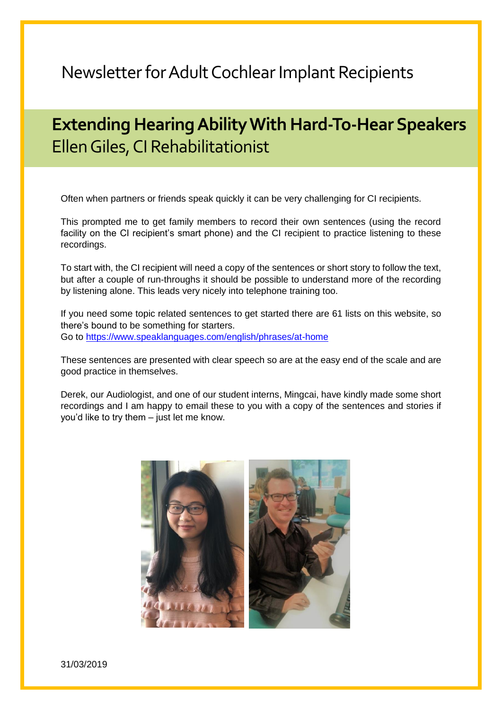### **Extending Hearing Ability With Hard-To-Hear Speakers** Ellen Giles, CI Rehabilitationist

Often when partners or friends speak quickly it can be very challenging for CI recipients.

This prompted me to get family members to record their own sentences (using the record facility on the CI recipient's smart phone) and the CI recipient to practice listening to these recordings.

To start with, the CI recipient will need a copy of the sentences or short story to follow the text, but after a couple of run-throughs it should be possible to understand more of the recording by listening alone. This leads very nicely into telephone training too.

If you need some topic related sentences to get started there are 61 lists on this website, so there's bound to be something for starters. Go to<https://www.speaklanguages.com/english/phrases/at-home>

These sentences are presented with clear speech so are at the easy end of the scale and are good practice in themselves.

Derek, our Audiologist, and one of our student interns, Mingcai, have kindly made some short recordings and I am happy to email these to you with a copy of the sentences and stories if you'd like to try them – just let me know.

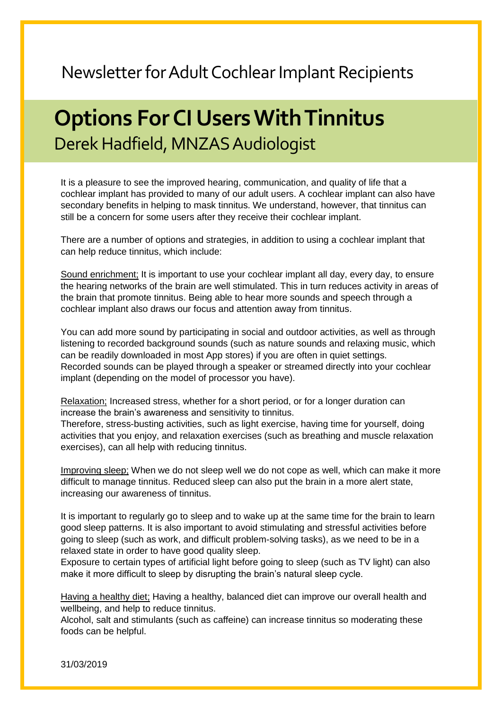## **Options For CI Users With Tinnitus** Derek Hadfield, MNZAS Audiologist

It is a pleasure to see the improved hearing, communication, and quality of life that a cochlear implant has provided to many of our adult users. A cochlear implant can also have secondary benefits in helping to mask tinnitus. We understand, however, that tinnitus can still be a concern for some users after they receive their cochlear implant.

There are a number of options and strategies, in addition to using a cochlear implant that can help reduce tinnitus, which include:

Sound enrichment; It is important to use your cochlear implant all day, every day, to ensure the hearing networks of the brain are well stimulated. This in turn reduces activity in areas of the brain that promote tinnitus. Being able to hear more sounds and speech through a cochlear implant also draws our focus and attention away from tinnitus.

You can add more sound by participating in social and outdoor activities, as well as through listening to recorded background sounds (such as nature sounds and relaxing music, which can be readily downloaded in most App stores) if you are often in quiet settings. Recorded sounds can be played through a speaker or streamed directly into your cochlear implant (depending on the model of processor you have).

Relaxation; Increased stress, whether for a short period, or for a longer duration can increase the brain's awareness and sensitivity to tinnitus.

Therefore, stress-busting activities, such as light exercise, having time for yourself, doing activities that you enjoy, and relaxation exercises (such as breathing and muscle relaxation exercises), can all help with reducing tinnitus.

Improving sleep; When we do not sleep well we do not cope as well, which can make it more difficult to manage tinnitus. Reduced sleep can also put the brain in a more alert state, increasing our awareness of tinnitus.

It is important to regularly go to sleep and to wake up at the same time for the brain to learn good sleep patterns. It is also important to avoid stimulating and stressful activities before going to sleep (such as work, and difficult problem-solving tasks), as we need to be in a relaxed state in order to have good quality sleep.

Exposure to certain types of artificial light before going to sleep (such as TV light) can also make it more difficult to sleep by disrupting the brain's natural sleep cycle.

Having a healthy diet; Having a healthy, balanced diet can improve our overall health and wellbeing, and help to reduce tinnitus.

Alcohol, salt and stimulants (such as caffeine) can increase tinnitus so moderating these foods can be helpful.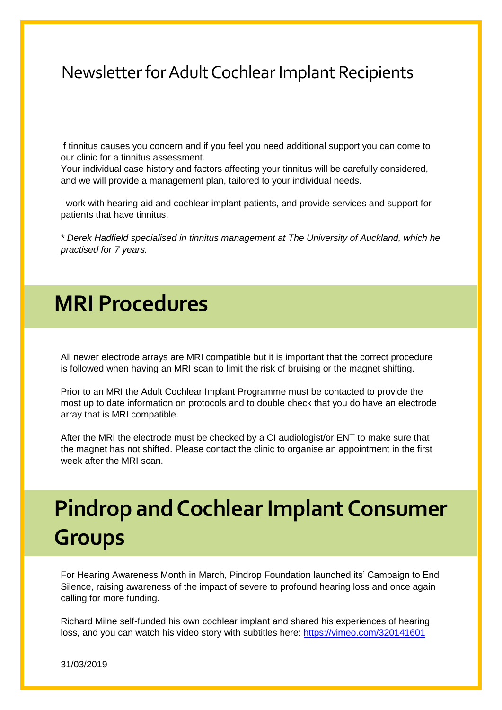If tinnitus causes you concern and if you feel you need additional support you can come to our clinic for a tinnitus assessment.

Your individual case history and factors affecting your tinnitus will be carefully considered, and we will provide a management plan, tailored to your individual needs.

I work with hearing aid and cochlear implant patients, and provide services and support for patients that have tinnitus.

*\* Derek Hadfield specialised in tinnitus management at The University of Auckland, which he practised for 7 years.*

## **MRI Procedures**

All newer electrode arrays are MRI compatible but it is important that the correct procedure is followed when having an MRI scan to limit the risk of bruising or the magnet shifting.

Prior to an MRI the Adult Cochlear Implant Programme must be contacted to provide the most up to date information on protocols and to double check that you do have an electrode array that is MRI compatible.

After the MRI the electrode must be checked by a CI audiologist/or ENT to make sure that the magnet has not shifted. Please contact the clinic to organise an appointment in the first week after the MRI scan.

## **Pindrop and Cochlear Implant Consumer Groups**

For Hearing Awareness Month in March, Pindrop Foundation launched its' Campaign to End Silence, raising awareness of the impact of severe to profound hearing loss and once again calling for more funding.

Richard Milne self-funded his own cochlear implant and shared his experiences of hearing loss, and you can watch his video story with subtitles here: <https://vimeo.com/320141601>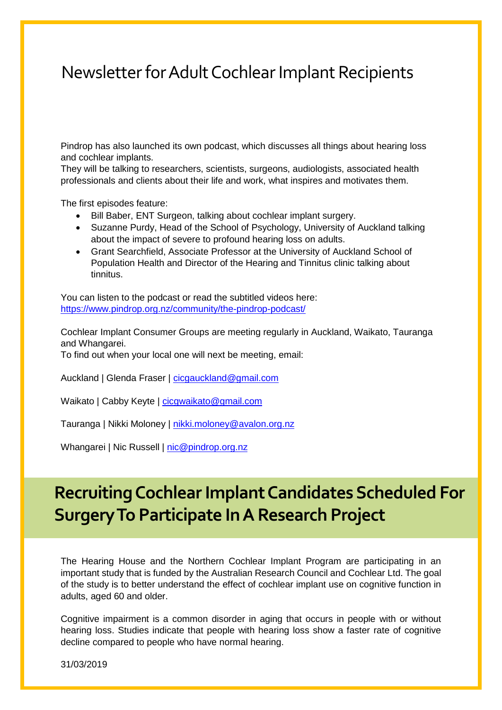Pindrop has also launched its own podcast, which discusses all things about hearing loss and cochlear implants.

They will be talking to researchers, scientists, surgeons, audiologists, associated health professionals and clients about their life and work, what inspires and motivates them.

The first episodes feature:

- Bill Baber, ENT Surgeon, talking about cochlear implant surgery.
- Suzanne Purdy, Head of the School of Psychology, University of Auckland talking about the impact of severe to profound hearing loss on adults.
- Grant Searchfield, Associate Professor at the University of Auckland School of Population Health and Director of the Hearing and Tinnitus clinic talking about tinnitus.

You can listen to the podcast or read the subtitled videos here: <https://www.pindrop.org.nz/community/the-pindrop-podcast/>

Cochlear Implant Consumer Groups are meeting regularly in Auckland, Waikato, Tauranga and Whangarei.

To find out when your local one will next be meeting, email:

Auckland | Glenda Fraser | [cicgauckland@gmail.com](mailto:cicgauckland@gmail.com)

Waikato | Cabby Keyte | cicqwaikato@gmail.com

Tauranga | Nikki Moloney | [nikki.moloney@avalon.org.nz](mailto:nikki.moloney@avalon.org.nz)

Whangarei | Nic Russell | [nic@pindrop.org.nz](mailto:nic@pindrop.org.nz)

### **Recruiting Cochlear Implant Candidates Scheduled For Surgery To Participate In A Research Project**

The Hearing House and the Northern Cochlear Implant Program are participating in an important study that is funded by the Australian Research Council and Cochlear Ltd. The goal of the study is to better understand the effect of cochlear implant use on cognitive function in adults, aged 60 and older.

Cognitive impairment is a common disorder in aging that occurs in people with or without hearing loss. Studies indicate that people with hearing loss show a faster rate of cognitive decline compared to people who have normal hearing.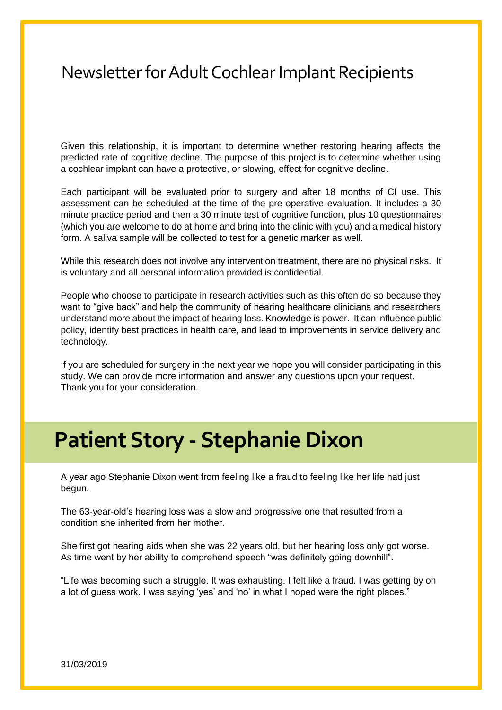Given this relationship, it is important to determine whether restoring hearing affects the predicted rate of cognitive decline. The purpose of this project is to determine whether using a cochlear implant can have a protective, or slowing, effect for cognitive decline.

Each participant will be evaluated prior to surgery and after 18 months of CI use. This assessment can be scheduled at the time of the pre-operative evaluation. It includes a 30 minute practice period and then a 30 minute test of cognitive function, plus 10 questionnaires (which you are welcome to do at home and bring into the clinic with you) and a medical history form. A saliva sample will be collected to test for a genetic marker as well.

While this research does not involve any intervention treatment, there are no physical risks. It is voluntary and all personal information provided is confidential.

People who choose to participate in research activities such as this often do so because they want to "give back" and help the community of hearing healthcare clinicians and researchers understand more about the impact of hearing loss. Knowledge is power. It can influence public policy, identify best practices in health care, and lead to improvements in service delivery and technology.

If you are scheduled for surgery in the next year we hope you will consider participating in this study. We can provide more information and answer any questions upon your request. Thank you for your consideration.

# **Patient Story - Stephanie Dixon**

A year ago Stephanie Dixon went from feeling like a fraud to feeling like her life had just begun.

The 63-year-old's hearing loss was a slow and progressive one that resulted from a condition she inherited from her mother.

She first got hearing aids when she was 22 years old, but her hearing loss only got worse. As time went by her ability to comprehend speech "was definitely going downhill".

"Life was becoming such a struggle. It was exhausting. I felt like a fraud. I was getting by on a lot of guess work. I was saying 'yes' and 'no' in what I hoped were the right places."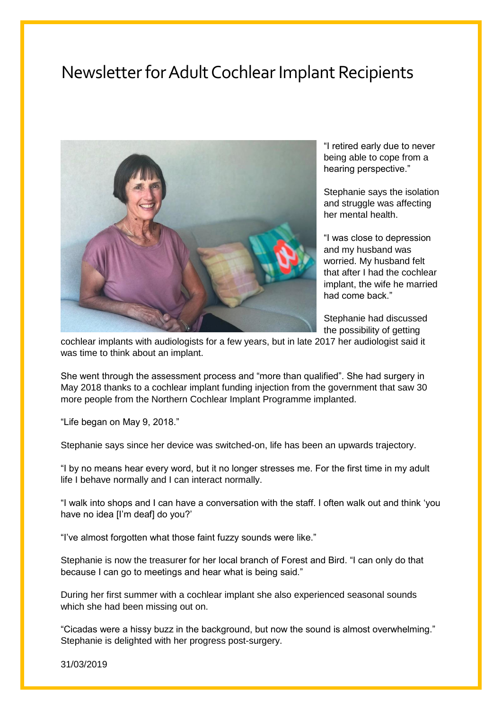

"I retired early due to never being able to cope from a hearing perspective."

Stephanie says the isolation and struggle was affecting her mental health.

"I was close to depression and my husband was worried. My husband felt that after I had the cochlear implant, the wife he married had come back."

Stephanie had discussed the possibility of getting

cochlear implants with audiologists for a few years, but in late 2017 her audiologist said it was time to think about an implant.

She went through the assessment process and "more than qualified". She had surgery in May 2018 thanks to a cochlear implant funding injection from the government that saw 30 more people from the Northern Cochlear Implant Programme implanted.

"Life began on May 9, 2018."

Stephanie says since her device was switched-on, life has been an upwards trajectory.

"I by no means hear every word, but it no longer stresses me. For the first time in my adult life I behave normally and I can interact normally.

"I walk into shops and I can have a conversation with the staff. I often walk out and think 'you have no idea [I'm deaf] do you?'

"I've almost forgotten what those faint fuzzy sounds were like."

Stephanie is now the treasurer for her local branch of Forest and Bird. "I can only do that because I can go to meetings and hear what is being said."

During her first summer with a cochlear implant she also experienced seasonal sounds which she had been missing out on.

"Cicadas were a hissy buzz in the background, but now the sound is almost overwhelming." Stephanie is delighted with her progress post-surgery.